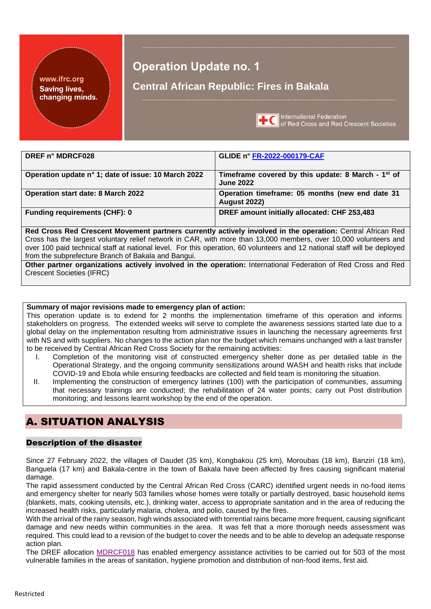### www.ifrc.org **Saving lives,** changing minds.

# **Operation Update no. 1**

## **Central African Republic: Fires in Bakala**



**TC** International Federation<br> **TC** of Red Cross and Red Crescent Societies

| DREF n° MDRCF028                                    | GLIDE n° FR-2022-000179-CAF                                                        |
|-----------------------------------------------------|------------------------------------------------------------------------------------|
| Operation update n° 1; date of issue: 10 March 2022 | Timeframe covered by this update: 8 March - 1 <sup>st</sup> of<br><b>June 2022</b> |
| <b>Operation start date: 8 March 2022</b>           | Operation timeframe: 05 months (new end date 31<br><b>August 2022)</b>             |
| <b>Funding requirements (CHF): 0</b>                | DREF amount initially allocated: CHF 253,483                                       |

**Red Cross Red Crescent Movement partners currently actively involved in the operation:** Central African Red Cross has the largest voluntary relief network in CAR, with more than 13,000 members, over 10,000 volunteers and over 100 paid technical staff at national level. For this operation, 60 volunteers and 12 national staff will be deployed from the subprefecture Branch of Bakala and Bangui.

**Other partner organizations actively involved in the operation:** International Federation of Red Cross and Red Crescent Societies (IFRC)

### **Summary of major revisions made to emergency plan of action:**

This operation update is to extend for 2 months the implementation timeframe of this operation and informs stakeholders on progress. The extended weeks will serve to complete the awareness sessions started late due to a global delay on the implementation resulting from administrative issues in launching the necessary agreements first with NS and with suppliers. No changes to the action plan nor the budget which remains unchanged with a last transfer to be received by Central African Red Cross Society for the remaining activities:

- I. Completion of the monitoring visit of constructed emergency shelter done as per detailed table in the Operational Strategy, and the ongoing community sensitizations around WASH and health risks that include COVID-19 and Ebola while ensuring feedbacks are collected and field team is monitoring the situation.
- II. Implementing the construction of emergency latrines (100) with the participation of communities, assuming that necessary trainings are conducted; the rehabilitation of 24 water points; carry out Post distribution monitoring; and lessons learnt workshop by the end of the operation.

# A. SITUATION ANALYSIS

### Description of the disaster

Since 27 February 2022, the villages of Daudet (35 km), Kongbakou (25 km), Moroubas (18 km), Banziri (18 km), Banguela (17 km) and Bakala-centre in the town of Bakala have been affected by fires causing significant material damage.

The rapid assessment conducted by the Central African Red Cross (CARC) identified urgent needs in no-food items and emergency shelter for nearly 503 families whose homes were totally or partially destroyed, basic household items (blankets, mats, cooking utensils, etc.), drinking water, access to appropriate sanitation and in the area of reducing the increased health risks, particularly malaria, cholera, and polio, caused by the fires.

With the arrival of the rainy season, high winds associated with torrential rains became more frequent, causing significant damage and new needs within communities in the area. It was felt that a more thorough needs assessment was required. This could lead to a revision of the budget to cover the needs and to be able to develop an adequate response action plan.

The DREF allocation [MDRCF018](https://adore.ifrc.org/Download.aspx?FileId=502838) has enabled emergency assistance activities to be carried out for 503 of the most vulnerable families in the areas of sanitation, hygiene promotion and distribution of non-food items, first aid.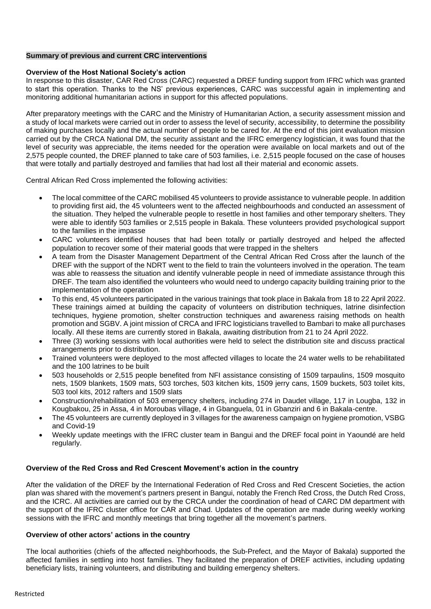### **Summary of previous and current CRC interventions**

### **Overview of the Host National Society's action**

In response to this disaster, CAR Red Cross (CARC) requested a DREF funding support from IFRC which was granted to start this operation. Thanks to the NS' previous experiences, CARC was successful again in implementing and monitoring additional humanitarian actions in support for this affected populations.

After preparatory meetings with the CARC and the Ministry of Humanitarian Action, a security assessment mission and a study of local markets were carried out in order to assess the level of security, accessibility, to determine the possibility of making purchases locally and the actual number of people to be cared for. At the end of this joint evaluation mission carried out by the CRCA National DM, the security assistant and the IFRC emergency logistician, it was found that the level of security was appreciable, the items needed for the operation were available on local markets and out of the 2,575 people counted, the DREF planned to take care of 503 families, i.e. 2,515 people focused on the case of houses that were totally and partially destroyed and families that had lost all their material and economic assets.

Central African Red Cross implemented the following activities:

- The local committee of the CARC mobilised 45 volunteers to provide assistance to vulnerable people. In addition to providing first aid, the 45 volunteers went to the affected neighbourhoods and conducted an assessment of the situation. They helped the vulnerable people to resettle in host families and other temporary shelters. They were able to identify 503 families or 2,515 people in Bakala. These volunteers provided psychological support to the families in the impasse
- CARC volunteers identified houses that had been totally or partially destroyed and helped the affected population to recover some of their material goods that were trapped in the shelters
- A team from the Disaster Management Department of the Central African Red Cross after the launch of the DREF with the support of the NDRT went to the field to train the volunteers involved in the operation. The team was able to reassess the situation and identify vulnerable people in need of immediate assistance through this DREF. The team also identified the volunteers who would need to undergo capacity building training prior to the implementation of the operation
- To this end, 45 volunteers participated in the various trainings that took place in Bakala from 18 to 22 April 2022. These trainings aimed at building the capacity of volunteers on distribution techniques, latrine disinfection techniques, hygiene promotion, shelter construction techniques and awareness raising methods on health promotion and SGBV. A joint mission of CRCA and IFRC logisticians travelled to Bambari to make all purchases locally. All these items are currently stored in Bakala, awaiting distribution from 21 to 24 April 2022.
- Three (3) working sessions with local authorities were held to select the distribution site and discuss practical arrangements prior to distribution.
- Trained volunteers were deployed to the most affected villages to locate the 24 water wells to be rehabilitated and the 100 latrines to be built
- 503 households or 2,515 people benefited from NFI assistance consisting of 1509 tarpaulins, 1509 mosquito nets, 1509 blankets, 1509 mats, 503 torches, 503 kitchen kits, 1509 jerry cans, 1509 buckets, 503 toilet kits, 503 tool kits, 2012 rafters and 1509 slats
- Construction/rehabilitation of 503 emergency shelters, including 274 in Daudet village, 117 in Lougba, 132 in Kougbakou, 25 in Assa, 4 in Moroubas village, 4 in Gbanguela, 01 in Gbanziri and 6 in Bakala-centre.
- The 45 volunteers are currently deployed in 3 villages for the awareness campaign on hygiene promotion, VSBG and Covid-19
- Weekly update meetings with the IFRC cluster team in Bangui and the DREF focal point in Yaoundé are held regularly.

### **Overview of the Red Cross and Red Crescent Movement's action in the country**

After the validation of the DREF by the International Federation of Red Cross and Red Crescent Societies, the action plan was shared with the movement's partners present in Bangui, notably the French Red Cross, the Dutch Red Cross, and the ICRC. All activities are carried out by the CRCA under the coordination of head of CARC DM department with the support of the IFRC cluster office for CAR and Chad. Updates of the operation are made during weekly working sessions with the IFRC and monthly meetings that bring together all the movement's partners.

#### **Overview of other actors' actions in the country**

The local authorities (chiefs of the affected neighborhoods, the Sub-Prefect, and the Mayor of Bakala) supported the affected families in settling into host families. They facilitated the preparation of DREF activities, including updating beneficiary lists, training volunteers, and distributing and building emergency shelters.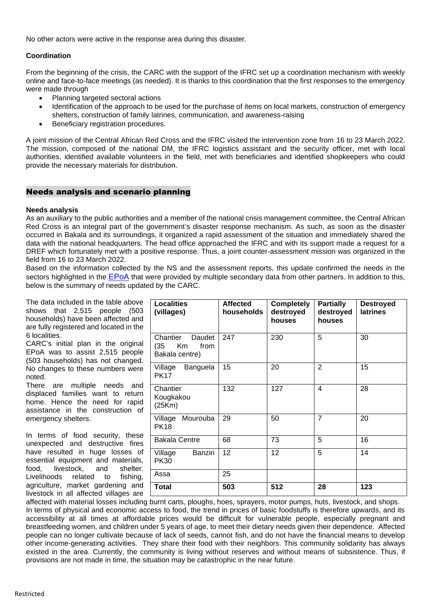No other actors were active in the response area during this disaster.

### **Coordination**

From the beginning of the crisis, the CARC with the support of the IFRC set up a coordination mechanism with weekly online and face-to-face meetings (as needed). It is thanks to this coordination that the first responses to the emergency were made through

- Planning targeted sectoral actions
- Identification of the approach to be used for the purchase of items on local markets, construction of emergency shelters, construction of family latrines, communication, and awareness-raising
- Beneficiary registration procedures.

A joint mission of the Central African Red Cross and the IFRC visited the intervention zone from 16 to 23 March 2022. The mission, composed of the national DM, the IFRC logistics assistant and the security officer, met with local authorities, identified available volunteers in the field, met with beneficiaries and identified shopkeepers who could provide the necessary materials for distribution.

### Needs analysis and scenario planning

### **Needs analysis**

As an auxiliary to the public authorities and a member of the national crisis management committee, the Central African Red Cross is an integral part of the government's disaster response mechanism. As such, as soon as the disaster occurred in Bakala and its surroundings, it organized a rapid assessment of the situation and immediately shared the data with the national headquarters. The head office approached the IFRC and with its support made a request for a DREF which fortunately met with a positive response. Thus, a joint counter-assessment mission was organized in the field from 16 to 23 March 2022.

Based on the information collected by the NS and the assessment reports, this update confirmed the needs in the sectors highlighted in the [EPoA](https://adore.ifrc.org/Download.aspx?FileId=502838) that were provided by multiple secondary data from other partners. In addition to this, below is the summary of needs updated by the CARC.

The data included in the table above shows that 2,515 people (503 households) have been affected and are fully registered and located in the 6 localities.

CARC's initial plan in the original EPoA was to assist 2,515 people (503 households) has not changed. No changes to these numbers were noted.

There are multiple needs and displaced families want to return home. Hence the need for rapid assistance in the construction of emergency shelters.

In terms of food security, these unexpected and destructive fires have resulted in huge losses of essential equipment and materials, food, livestock, and shelter. Livelihoods related to fishing, agriculture, market gardening and livestock in all affected villages are

| <b>Localities</b><br>(villages)                            | <b>Affected</b><br>households | <b>Completely</b><br>destroyed<br>houses | <b>Partially</b><br>destroyed<br>houses | <b>Destroyed</b><br><b>latrines</b> |
|------------------------------------------------------------|-------------------------------|------------------------------------------|-----------------------------------------|-------------------------------------|
| Chantier<br>Daudet<br>Km<br>(35)<br>from<br>Bakala centre) | 247                           | 230                                      | 5                                       | 30                                  |
| Village<br>Banguela<br><b>PK17</b>                         | 15                            | 20                                       | $\overline{2}$                          | 15                                  |
| Chantier<br>Kougkakou<br>(25Km)                            | 132                           | 127                                      | 4                                       | 28                                  |
| Mourouba<br>Village<br><b>PK18</b>                         | 29                            | 50                                       | 7                                       | 20                                  |
| <b>Bakala Centre</b>                                       | 68                            | 73                                       | 5                                       | 16                                  |
| Banziri<br>Village<br><b>PK30</b>                          | 12                            | 12                                       | 5                                       | 14                                  |
| Assa                                                       | 25                            |                                          |                                         |                                     |
| <b>Total</b>                                               | 503                           | 512                                      | 28                                      | 123                                 |

affected with material losses including burnt carts, ploughs, hoes, sprayers, motor pumps, huts, livestock, and shops. In terms of physical and economic access to food, the trend in prices of basic foodstuffs is therefore upwards, and its accessibility at all times at affordable prices would be difficult for vulnerable people, especially pregnant and breastfeeding women, and children under 5 years of age, to meet their dietary needs given their dependence. Affected people can no longer cultivate because of lack of seeds, cannot fish, and do not have the financial means to develop other income-generating activities. They share their food with their neighbors. This community solidarity has always existed in the area. Currently, the community is living without reserves and without means of subsistence. Thus, if provisions are not made in time, the situation may be catastrophic in the near future.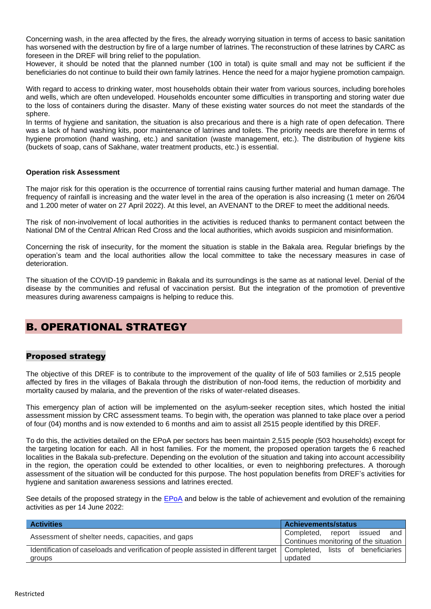Concerning wash, in the area affected by the fires, the already worrying situation in terms of access to basic sanitation has worsened with the destruction by fire of a large number of latrines. The reconstruction of these latrines by CARC as foreseen in the DREF will bring relief to the population.

However, it should be noted that the planned number (100 in total) is quite small and may not be sufficient if the beneficiaries do not continue to build their own family latrines. Hence the need for a major hygiene promotion campaign.

With regard to access to drinking water, most households obtain their water from various sources, including boreholes and wells, which are often undeveloped. Households encounter some difficulties in transporting and storing water due to the loss of containers during the disaster. Many of these existing water sources do not meet the standards of the sphere.

In terms of hygiene and sanitation, the situation is also precarious and there is a high rate of open defecation. There was a lack of hand washing kits, poor maintenance of latrines and toilets. The priority needs are therefore in terms of hygiene promotion (hand washing, etc.) and sanitation (waste management, etc.). The distribution of hygiene kits (buckets of soap, cans of Sakhane, water treatment products, etc.) is essential.

### **Operation risk Assessment**

The major risk for this operation is the occurrence of torrential rains causing further material and human damage. The frequency of rainfall is increasing and the water level in the area of the operation is also increasing (1 meter on 26/04 and 1.200 meter of water on 27 April 2022). At this level, an AVENANT to the DREF to meet the additional needs.

The risk of non-involvement of local authorities in the activities is reduced thanks to permanent contact between the National DM of the Central African Red Cross and the local authorities, which avoids suspicion and misinformation.

Concerning the risk of insecurity, for the moment the situation is stable in the Bakala area. Regular briefings by the operation's team and the local authorities allow the local committee to take the necessary measures in case of deterioration.

The situation of the COVID-19 pandemic in Bakala and its surroundings is the same as at national level. Denial of the disease by the communities and refusal of vaccination persist. But the integration of the promotion of preventive measures during awareness campaigns is helping to reduce this.

## B. OPERATIONAL STRATEGY

### Proposed strategy

The objective of this DREF is to contribute to the improvement of the quality of life of 503 families or 2,515 people affected by fires in the villages of Bakala through the distribution of non-food items, the reduction of morbidity and mortality caused by malaria, and the prevention of the risks of water-related diseases.

This emergency plan of action will be implemented on the asylum-seeker reception sites, which hosted the initial assessment mission by CRC assessment teams. To begin with, the operation was planned to take place over a period of four (04) months and is now extended to 6 months and aim to assist all 2515 people identified by this DREF.

To do this, the activities detailed on the EPoA per sectors has been maintain 2,515 people (503 households) except for the targeting location for each. All in host families. For the moment, the proposed operation targets the 6 reached localities in the Bakala sub-prefecture. Depending on the evolution of the situation and taking into account accessibility in the region, the operation could be extended to other localities, or even to neighboring prefectures. A thorough assessment of the situation will be conducted for this purpose. The host population benefits from DREF's activities for hygiene and sanitation awareness sessions and latrines erected.

See details of the proposed strategy in the [EPoA](https://adore.ifrc.org/Download.aspx?FileId=502838) and below is the table of achievement and evolution of the remaining activities as per 14 June 2022:

| <b>Activities</b>                                                                   | <b>Achievements/status</b>            |  |
|-------------------------------------------------------------------------------------|---------------------------------------|--|
| Assessment of shelter needs, capacities, and gaps                                   | and<br>Completed, report issued       |  |
|                                                                                     | Continues monitoring of the situation |  |
| Identification of caseloads and verification of people assisted in different target | Completed, lists of beneficiaries     |  |
| groups                                                                              | updated                               |  |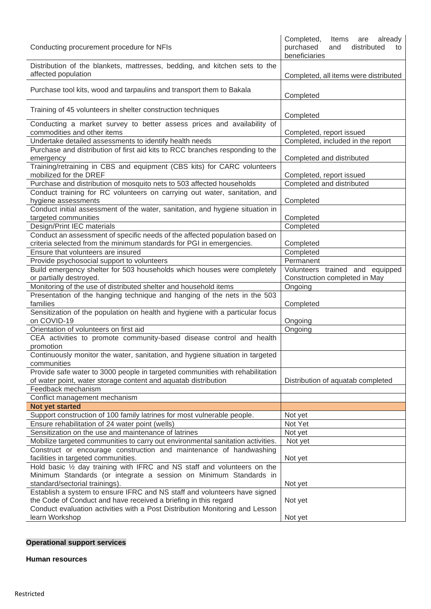| Conducting procurement procedure for NFIs                                                                                                             | Completed,<br>Items are already<br>purchased<br>distributed<br>and<br>to<br>beneficiaries |
|-------------------------------------------------------------------------------------------------------------------------------------------------------|-------------------------------------------------------------------------------------------|
| Distribution of the blankets, mattresses, bedding, and kitchen sets to the<br>affected population                                                     | Completed, all items were distributed                                                     |
| Purchase tool kits, wood and tarpaulins and transport them to Bakala                                                                                  | Completed                                                                                 |
| Training of 45 volunteers in shelter construction techniques                                                                                          | Completed                                                                                 |
| Conducting a market survey to better assess prices and availability of<br>commodities and other items                                                 | Completed, report issued                                                                  |
| Undertake detailed assessments to identify health needs                                                                                               | Completed, included in the report                                                         |
| Purchase and distribution of first aid kits to RCC branches responding to the<br>emergency                                                            | Completed and distributed                                                                 |
| Training/retraining in CBS and equipment (CBS kits) for CARC volunteers<br>mobilized for the DREF                                                     | Completed, report issued                                                                  |
| Purchase and distribution of mosquito nets to 503 affected households                                                                                 | Completed and distributed                                                                 |
| Conduct training for RC volunteers on carrying out water, sanitation, and                                                                             |                                                                                           |
| hygiene assessments                                                                                                                                   | Completed                                                                                 |
| Conduct initial assessment of the water, sanitation, and hygiene situation in                                                                         |                                                                                           |
| targeted communities                                                                                                                                  | Completed                                                                                 |
| Design/Print IEC materials                                                                                                                            | Completed                                                                                 |
| Conduct an assessment of specific needs of the affected population based on                                                                           |                                                                                           |
| criteria selected from the minimum standards for PGI in emergencies.                                                                                  | Completed                                                                                 |
| Ensure that volunteers are insured                                                                                                                    | Completed                                                                                 |
| Provide psychosocial support to volunteers                                                                                                            | Permanent                                                                                 |
| Build emergency shelter for 503 households which houses were completely<br>or partially destroyed.                                                    | Volunteers trained and equipped<br>Construction completed in May                          |
| Monitoring of the use of distributed shelter and household items                                                                                      | Ongoing                                                                                   |
| Presentation of the hanging technique and hanging of the nets in the 503                                                                              |                                                                                           |
| families                                                                                                                                              | Completed                                                                                 |
| Sensitization of the population on health and hygiene with a particular focus                                                                         |                                                                                           |
| on COVID-19                                                                                                                                           | Ongoing                                                                                   |
| Orientation of volunteers on first aid                                                                                                                | Ongoing                                                                                   |
| CEA activities to promote community-based disease control and health<br>promotion                                                                     |                                                                                           |
| Continuously monitor the water, sanitation, and hygiene situation in targeted<br>communities                                                          |                                                                                           |
| Provide safe water to 3000 people in targeted communities with rehabilitation                                                                         |                                                                                           |
| of water point, water storage content and aquatab distribution                                                                                        | Distribution of aquatab completed                                                         |
| Feedback mechanism                                                                                                                                    |                                                                                           |
| Conflict management mechanism                                                                                                                         |                                                                                           |
| Not yet started                                                                                                                                       |                                                                                           |
| Support construction of 100 family latrines for most vulnerable people.                                                                               | Not yet                                                                                   |
| Ensure rehabilitation of 24 water point (wells)                                                                                                       | Not Yet                                                                                   |
| Sensitization on the use and maintenance of latrines                                                                                                  | Not yet                                                                                   |
| Mobilize targeted communities to carry out environmental sanitation activities.<br>Construct or encourage construction and maintenance of handwashing | Not yet                                                                                   |
| facilities in targeted communities.                                                                                                                   | Not yet                                                                                   |
| Hold basic 1/2 day training with IFRC and NS staff and volunteers on the                                                                              |                                                                                           |
| Minimum Standards (or integrate a session on Minimum Standards in                                                                                     |                                                                                           |
| standard/sectorial trainings).                                                                                                                        | Not yet                                                                                   |
| Establish a system to ensure IFRC and NS staff and volunteers have signed                                                                             |                                                                                           |
| the Code of Conduct and have received a briefing in this regard<br>Conduct evaluation activities with a Post Distribution Monitoring and Lesson       | Not yet                                                                                   |
| learn Workshop                                                                                                                                        | Not yet                                                                                   |

### **Operational support services**

**Human resources**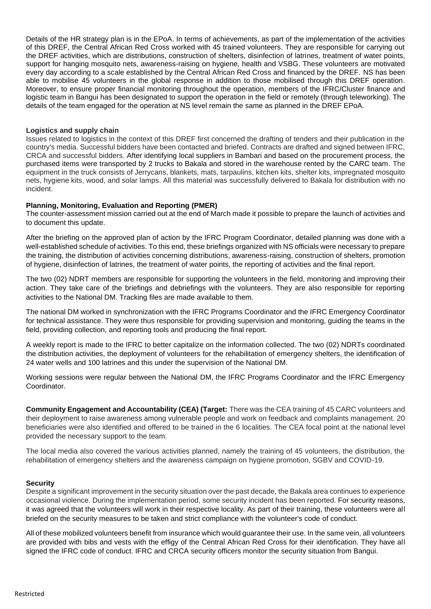Details of the HR strategy plan is in the EPoA. In terms of achievements, as part of the implementation of the activities of this DREF, the Central African Red Cross worked with 45 trained volunteers. They are responsible for carrying out the DREF activities, which are distributions, construction of shelters, disinfection of latrines, treatment of water points, support for hanging mosquito nets, awareness-raising on hygiene, health and VSBG. These volunteers are motivated every day according to a scale established by the Central African Red Cross and financed by the DREF. NS has been able to mobilise 45 volunteers in the global response in addition to those mobilised through this DREF operation. Moreover, to ensure proper financial monitoring throughout the operation, members of the IFRC/Cluster finance and logistic team in Bangui has been designated to support the operation in the field or remotely (through teleworking). The details of the team engaged for the operation at NS level remain the same as planned in the DREF EPoA.

### **Logistics and supply chain**

Issues related to logistics in the context of this DREF first concerned the drafting of tenders and their publication in the country's media. Successful bidders have been contacted and briefed. Contracts are drafted and signed between IFRC, CRCA and successful bidders. After identifying local suppliers in Bambari and based on the procurement process, the purchased items were transported by 2 trucks to Bakala and stored in the warehouse rented by the CARC team. The equipment in the truck consists of Jerrycans, blankets, mats, tarpaulins, kitchen kits, shelter kits, impregnated mosquito nets, hygiene kits, wood, and solar lamps. All this material was successfully delivered to Bakala for distribution with no incident.

### **Planning, Monitoring, Evaluation and Reporting (PMER)**

The counter-assessment mission carried out at the end of March made it possible to prepare the launch of activities and to document this update.

After the briefing on the approved plan of action by the IFRC Program Coordinator, detailed planning was done with a well-established schedule of activities. To this end, these briefings organized with NS officials were necessary to prepare the training, the distribution of activities concerning distributions, awareness-raising, construction of shelters, promotion of hygiene, disinfection of latrines, the treatment of water points, the reporting of activities and the final report.

The two (02) NDRT members are responsible for supporting the volunteers in the field, monitoring and improving their action. They take care of the briefings and debriefings with the volunteers. They are also responsible for reporting activities to the National DM. Tracking files are made available to them.

The national DM worked in synchronization with the IFRC Programs Coordinator and the IFRC Emergency Coordinator for technical assistance. They were thus responsible for providing supervision and monitoring, guiding the teams in the field, providing collection, and reporting tools and producing the final report.

A weekly report is made to the IFRC to better capitalize on the information collected. The two (02) NDRTs coordinated the distribution activities, the deployment of volunteers for the rehabilitation of emergency shelters, the identification of 24 water wells and 100 latrines and this under the supervision of the National DM.

Working sessions were regular between the National DM, the IFRC Programs Coordinator and the IFRC Emergency **Coordinator** 

**Community Engagement and Accountability (CEA) (Target:** There was the CEA training of 45 CARC volunteers and their deployment to raise awareness among vulnerable people and work on feedback and complaints management. 20 beneficiaries were also identified and offered to be trained in the 6 localities. The CEA focal point at the national level provided the necessary support to the team.

The local media also covered the various activities planned, namely the training of 45 volunteers, the distribution, the rehabilitation of emergency shelters and the awareness campaign on hygiene promotion, SGBV and COVID-19.

#### **Security**

Despite a significant improvement in the security situation over the past decade, the Bakala area continues to experience occasional violence. During the implementation period, some security incident has been reported. For security reasons, it was agreed that the volunteers will work in their respective locality. As part of their training, these volunteers were all briefed on the security measures to be taken and strict compliance with the volunteer's code of conduct.

All of these mobilized volunteers benefit from insurance which would guarantee their use. In the same vein, all volunteers are provided with bibs and vests with the effigy of the Central African Red Cross for their identification. They have all signed the IFRC code of conduct. IFRC and CRCA security officers monitor the security situation from Bangui.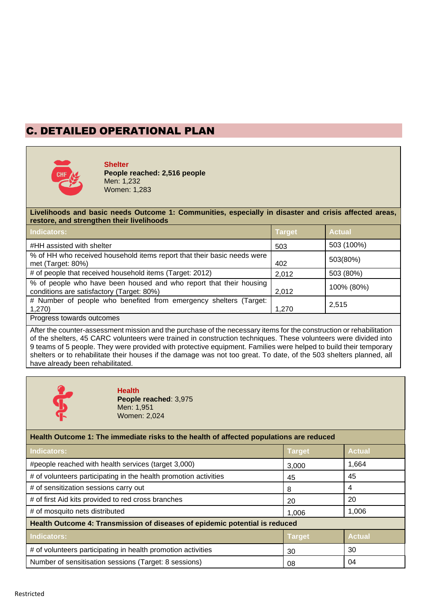# C. DETAILED OPERATIONAL PLAN



**Shelter People reached: 2,516 people** Men: 1,232 Women: 1,283

### **Livelihoods and basic needs Outcome 1: Communities, especially in disaster and crisis affected areas, restore, and strengthen their livelihoods**

| <b>Indicators:</b>                                                                                              | <b>Target</b> | <b>Actual</b> |
|-----------------------------------------------------------------------------------------------------------------|---------------|---------------|
| #HH assisted with shelter                                                                                       | 503           | 503 (100%)    |
| % of HH who received household items report that their basic needs were<br>met (Target: 80%)                    | 402           | 503(80%)      |
| # of people that received household items (Target: 2012)                                                        | 2,012         | 503 (80%)     |
| % of people who have been housed and who report that their housing<br>conditions are satisfactory (Target: 80%) | 2,012         | 100% (80%)    |
| # Number of people who benefited from emergency shelters (Target:<br>1,270)                                     | 1,270         | 2,515         |
| Progress towards outcomes                                                                                       |               |               |

After the counter-assessment mission and the purchase of the necessary items for the construction or rehabilitation of the shelters, 45 CARC volunteers were trained in construction techniques. These volunteers were divided into 9 teams of 5 people. They were provided with protective equipment. Families were helped to build their temporary shelters or to rehabilitate their houses if the damage was not too great. To date, of the 503 shelters planned, all have already been rehabilitated.



### **Health People reached**: 3,975

Men: 1,951 Women: 2,024

### **Health Outcome 1: The immediate risks to the health of affected populations are reduced**

| Indicators:                                                                 | <b>Target</b> | <b>Actual</b> |
|-----------------------------------------------------------------------------|---------------|---------------|
| #people reached with health services (target 3,000)                         | 3,000         | 1,664         |
| # of volunteers participating in the health promotion activities            | 45            | 45            |
| # of sensitization sessions carry out                                       | 8             | 4             |
| # of first Aid kits provided to red cross branches                          | 20            | 20            |
| # of mosquito nets distributed                                              | 1,006         | 1,006         |
| Health Outcome 4: Transmission of diseases of epidemic potential is reduced |               |               |
| Indicators:                                                                 | <b>Target</b> | <b>Actual</b> |
| # of volunteers participating in health promotion activities                | 30            | 30            |
| Number of sensitisation sessions (Target: 8 sessions)                       | 08            | 04            |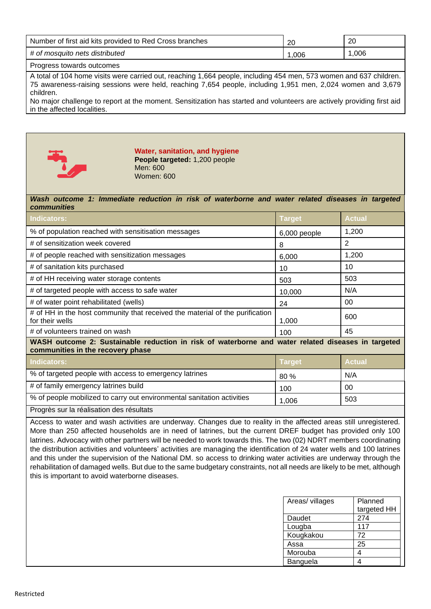| Number of first aid kits provided to Red Cross branches | 2C   | 20   |
|---------------------------------------------------------|------|------|
| # of mosquito nets distributed                          | .006 | .006 |
|                                                         |      |      |

Progress towards outcomes

A total of 104 home visits were carried out, reaching 1,664 people, including 454 men, 573 women and 637 children. 75 awareness-raising sessions were held, reaching 7,654 people, including 1,951 men, 2,024 women and 3,679 children.

No major challenge to report at the moment. Sensitization has started and volunteers are actively providing first aid in the affected localities.



**Water, sanitation, and hygiene People targeted:** 1,200 people Men: 600 Women: 600

#### *Wash outcome 1: Immediate reduction in risk of waterborne and water related diseases in targeted communities*

| Indicators:                                                                                                                             | <b>Target</b> | <b>Actual</b> |  |
|-----------------------------------------------------------------------------------------------------------------------------------------|---------------|---------------|--|
| % of population reached with sensitisation messages                                                                                     | 6,000 people  | 1,200         |  |
| # of sensitization week covered                                                                                                         | 8             | 2             |  |
| # of people reached with sensitization messages                                                                                         | 6,000         | 1,200         |  |
| # of sanitation kits purchased                                                                                                          | 10            | 10            |  |
| # of HH receiving water storage contents                                                                                                | 503           | 503           |  |
| # of targeted people with access to safe water                                                                                          | 10,000        | N/A           |  |
| # of water point rehabilitated (wells)                                                                                                  | 24            | 00            |  |
| # of HH in the host community that received the material of the purification<br>for their wells                                         | 1,000         | 600           |  |
| # of volunteers trained on wash                                                                                                         | 100           | 45            |  |
| WASH outcome 2: Sustainable reduction in risk of waterborne and water related diseases in targeted<br>communities in the recovery phase |               |               |  |
| <b>Indicators:</b>                                                                                                                      | <b>Target</b> | <b>Actual</b> |  |
| % of targeted people with access to emergency latrines                                                                                  | 80 %          | N/A           |  |
| # of family emergency latrines build                                                                                                    | 100           | 00            |  |
| % of people mobilized to carry out environmental sanitation activities                                                                  | 1,006         | 503           |  |
| Progrès sur la réalisation des résultats                                                                                                |               |               |  |

Access to water and wash activities are underway. Changes due to reality in the affected areas still unregistered. More than 250 affected households are in need of latrines, but the current DREF budget has provided only 100 latrines. Advocacy with other partners will be needed to work towards this. The two (02) NDRT members coordinating the distribution activities and volunteers' activities are managing the identification of 24 water wells and 100 latrines and this under the supervision of the National DM. so access to drinking water activities are underway through the rehabilitation of damaged wells. But due to the same budgetary constraints, not all needs are likely to be met, although this is important to avoid waterborne diseases.

| Areas/ villages | Planned     |
|-----------------|-------------|
|                 | targeted HH |
| Daudet          | 274         |
| Lougba          | 117         |
| Kougkakou       | 72          |
| Assa            | 25          |
| Morouba         | 4           |
| Banguela        |             |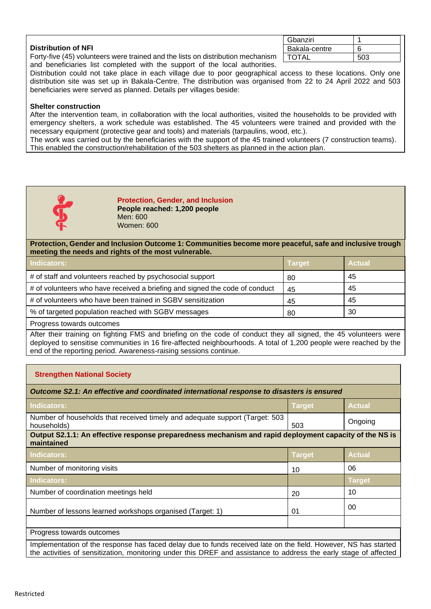|                                                                                 | Gbanziri      |     |
|---------------------------------------------------------------------------------|---------------|-----|
| <b>Distribution of NFI</b>                                                      | Bakala-centre |     |
| Forty-five (45) volunteers were trained and the lists on distribution mechanism | <b>TOTAL</b>  | 503 |

and beneficiaries list completed with the support of the local authorities. Distribution could not take place in each village due to poor geographical access to these locations. Only one distribution site was set up in Bakala-Centre. The distribution was organised from 22 to 24 April 2022 and 503 beneficiaries were served as planned. Details per villages beside:

### **Shelter construction**

After the intervention team, in collaboration with the local authorities, visited the households to be provided with emergency shelters, a work schedule was established. The 45 volunteers were trained and provided with the necessary equipment (protective gear and tools) and materials (tarpaulins, wood, etc.).

The work was carried out by the beneficiaries with the support of the 45 trained volunteers (7 construction teams). This enabled the construction/rehabilitation of the 503 shelters as planned in the action plan.



**Protection, Gender, and Inclusion People reached: 1,200 people** Men: 600 Women: 600

**Protection, Gender and Inclusion Outcome 1: Communities become more peaceful, safe and inclusive trough meeting the needs and rights of the most vulnerable.**

| Indicators:                                                                 | <b>Target</b> | <b>Actual</b> |
|-----------------------------------------------------------------------------|---------------|---------------|
| # of staff and volunteers reached by psychosocial support                   | 80            | 45            |
| # of volunteers who have received a briefing and signed the code of conduct | 45            | 45            |
| # of volunteers who have been trained in SGBV sensitization                 | 45            | 45            |
| % of targeted population reached with SGBV messages                         | 80            | 30            |
| <b>Drogrape towarde outcompe</b>                                            |               |               |

Progress towards outcomes

After their training on fighting FMS and briefing on the code of conduct they all signed, the 45 volunteers were deployed to sensitise communities in 16 fire-affected neighbourhoods. A total of 1,200 people were reached by the end of the reporting period. Awareness-raising sessions continue.

### **Strengthen National Society**

| Outcome S2.1: An effective and coordinated international response to disasters is ensured                                                                                                                                            |               |               |  |
|--------------------------------------------------------------------------------------------------------------------------------------------------------------------------------------------------------------------------------------|---------------|---------------|--|
| Indicators:                                                                                                                                                                                                                          | <b>Target</b> | <b>Actual</b> |  |
| Number of households that received timely and adequate support (Target: 503)<br>households)                                                                                                                                          | 503           | Ongoing       |  |
| Output S2.1.1: An effective response preparedness mechanism and rapid deployment capacity of the NS is<br>maintained                                                                                                                 |               |               |  |
| <b>Indicators:</b>                                                                                                                                                                                                                   | Target        | <b>Actual</b> |  |
| Number of monitoring visits                                                                                                                                                                                                          | 10            | 06            |  |
| Indicators:                                                                                                                                                                                                                          |               | Target        |  |
| Number of coordination meetings held                                                                                                                                                                                                 | 20            | 10            |  |
| Number of lessons learned workshops organised (Target: 1)                                                                                                                                                                            | 01            | 00            |  |
| Progress towards outcomes                                                                                                                                                                                                            |               |               |  |
| Implementation of the response has faced delay due to funds received late on the field. However, NS has started<br>the activities of sensitization, monitoring under this DREF and assistance to address the early stage of affected |               |               |  |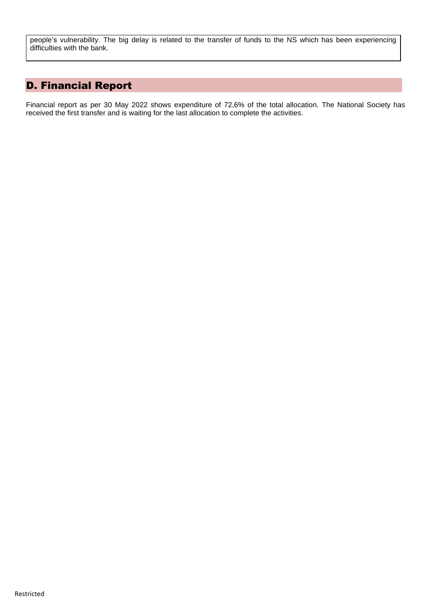people's vulnerability. The big delay is related to the transfer of funds to the NS which has been experiencing difficulties with the bank.

# D. Financial Report

Financial report as per 30 May 2022 shows expenditure of 72,6% of the total allocation. The National Society has received the first transfer and is waiting for the last allocation to complete the activities.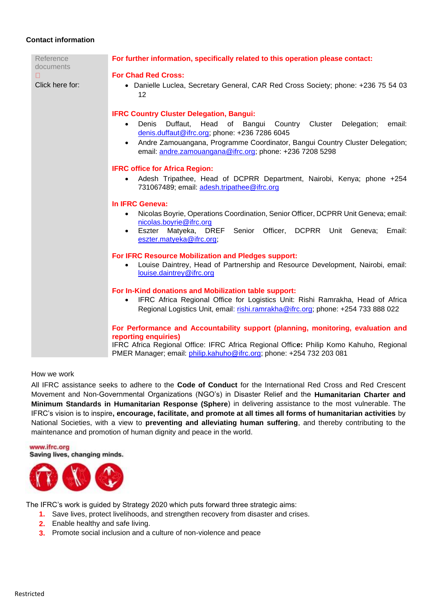### **Contact information**

| Reference<br>documents | For further information, specifically related to this operation please contact:                                                                                                                                                                                                                                                           |
|------------------------|-------------------------------------------------------------------------------------------------------------------------------------------------------------------------------------------------------------------------------------------------------------------------------------------------------------------------------------------|
| П<br>Click here for:   | <b>For Chad Red Cross:</b><br>• Danielle Luclea, Secretary General, CAR Red Cross Society; phone: +236 75 54 03<br>12                                                                                                                                                                                                                     |
|                        | <b>IFRC Country Cluster Delegation, Bangui:</b><br>Duffaut,<br>Head of Bangui Country Cluster<br>Delegation;<br>Denis<br>email:<br>denis.duffaut@ifrc.org; phone: +236 7286 6045<br>Andre Zamouangana, Programme Coordinator, Bangui Country Cluster Delegation;<br>$\bullet$<br>email: andre.zamouangana@ifrc.org; phone: +236 7208 5298 |
|                        | <b>IFRC office for Africa Region:</b>                                                                                                                                                                                                                                                                                                     |
|                        | Adesh Tripathee, Head of DCPRR Department, Nairobi, Kenya; phone +254<br>731067489; email: adesh.tripathee@ifrc.org                                                                                                                                                                                                                       |
|                        | In IFRC Geneva:                                                                                                                                                                                                                                                                                                                           |
|                        | Nicolas Boyrie, Operations Coordination, Senior Officer, DCPRR Unit Geneva; email:<br>$\bullet$<br>nicolas.boyrie@ifrc.org<br>Eszter Matyeka, DREF Senior Officer, DCPRR Unit Geneva;<br>Email:<br>eszter.matyeka@ifrc.org;                                                                                                               |
|                        | For IFRC Resource Mobilization and Pledges support:<br>Louise Daintrey, Head of Partnership and Resource Development, Nairobi, email:<br>$\bullet$<br>louise.daintrey@ifrc.org                                                                                                                                                            |
|                        | For In-Kind donations and Mobilization table support:<br>IFRC Africa Regional Office for Logistics Unit: Rishi Ramrakha, Head of Africa<br>Regional Logistics Unit, email: rishi.ramrakha@ifrc.org; phone: +254 733 888 022                                                                                                               |
|                        | For Performance and Accountability support (planning, monitoring, evaluation and<br>reporting enquiries)<br>IFRC Africa Regional Office: IFRC Africa Regional Office: Philip Komo Kahuho, Regional<br>PMER Manager; email: philip.kahuho@ifrc.org; phone: +254 732 203 081                                                                |

### How we work

All IFRC assistance seeks to adhere to the **Code of Conduct** for the International Red Cross and Red Crescent Movement and Non-Governmental Organizations (NGO's) in Disaster Relief and the **Humanitarian Charter and Minimum Standards in Humanitarian Response (Sphere**) in delivering assistance to the most vulnerable. The IFRC's vision is to inspire**, encourage, facilitate, and promote at all times all forms of humanitarian activities** by National Societies, with a view to **preventing and alleviating human suffering**, and thereby contributing to the maintenance and promotion of human dignity and peace in the world.

www.ifrc.org Saving lives, changing minds.



The IFRC's work is guided by Strategy 2020 which puts forward three strategic aims:

- **1.** Save lives, protect livelihoods, and strengthen recovery from disaster and crises.
- **2.** Enable healthy and safe living.
- **3.** Promote social inclusion and a culture of non-violence and peace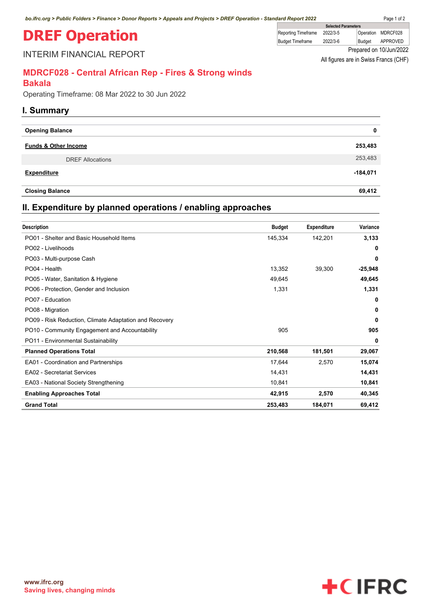# **DREF Operation**

INTERIM FINANCIAL REPORT

| <b>Selected Parameters</b> |          |        |                         |
|----------------------------|----------|--------|-------------------------|
| <b>Reporting Timeframe</b> | 2022/3-5 |        | Operation MDRCF028      |
| <b>Budget Timeframe</b>    | 2022/3-6 | Budaet | APPROVED                |
|                            |          |        | Prepared on 10/Jun/2022 |

All figures are in Swiss Francs (CHF)

### **MDRCF028 - Central African Rep - Fires & Strong winds**

### **Bakala**

Operating Timeframe: 08 Mar 2022 to 30 Jun 2022

### **I. Summary**

| <b>Opening Balance</b>          |            |
|---------------------------------|------------|
| <b>Funds &amp; Other Income</b> | 253,483    |
| <b>DREF Allocations</b>         | 253,483    |
| <b>Expenditure</b>              | $-184,071$ |
| <b>Closing Balance</b>          | 69,412     |

### **II. Expenditure by planned operations / enabling approaches**

| <b>Description</b>                                     | <b>Budget</b> | <b>Expenditure</b> | Variance  |
|--------------------------------------------------------|---------------|--------------------|-----------|
| PO01 - Shelter and Basic Household Items               | 145,334       | 142,201            | 3,133     |
| PO02 - Livelihoods                                     |               |                    | 0         |
| PO03 - Multi-purpose Cash                              |               |                    | 0         |
| PO04 - Health                                          | 13,352        | 39,300             | $-25,948$ |
| PO05 - Water, Sanitation & Hygiene                     | 49,645        |                    | 49,645    |
| PO06 - Protection, Gender and Inclusion                | 1,331         |                    | 1,331     |
| PO07 - Education                                       |               |                    | 0         |
| PO08 - Migration                                       |               |                    | 0         |
| PO09 - Risk Reduction, Climate Adaptation and Recovery |               |                    | 0         |
| PO10 - Community Engagement and Accountability         | 905           |                    | 905       |
| PO11 - Environmental Sustainability                    |               |                    | 0         |
| <b>Planned Operations Total</b>                        | 210,568       | 181,501            | 29,067    |
| EA01 - Coordination and Partnerships                   | 17,644        | 2,570              | 15,074    |
| <b>EA02 - Secretariat Services</b>                     | 14,431        |                    | 14,431    |
| EA03 - National Society Strengthening                  | 10,841        |                    | 10,841    |
| <b>Enabling Approaches Total</b>                       | 42,915        | 2,570              | 40,345    |
| <b>Grand Total</b>                                     | 253,483       | 184,071            | 69,412    |